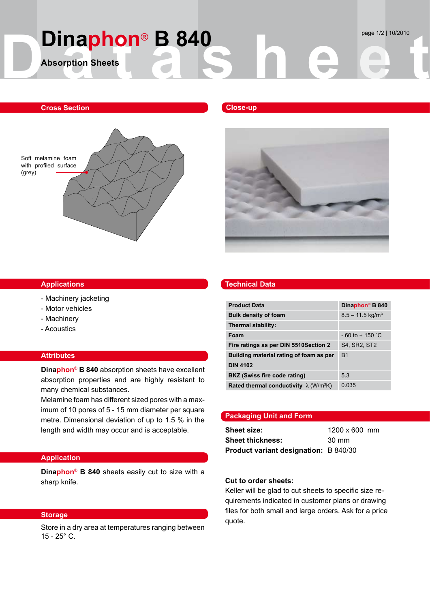# **D DINAPHON® B 840<br>Absorption Sheets Dinaphon<sup>®</sup> B 840** page 1/2 | 10/2010 **Absorption Sheets**

# **Cross Section**



### **Applications**

- Machinery jacketing
- Motor vehicles
- Machinery
- Acoustics

# **Attributes**

**Dinaphon**® **B 840** absorption sheets have excellent absorption properties and are highly resistant to many chemical substances.

Melamine foam has different sized pores with a maximum of 10 pores of 5 - 15 mm diameter per square metre. Dimensional deviation of up to 1.5 % in the length and width may occur and is acceptable.

# **Application**

**Dinaphon**® **B 840** sheets easily cut to size with a sharp knife.

Store in a dry area at temperatures ranging between  $15 - 25^\circ$  C.

# **Close-up**



### **Technical Data**

| <b>Product Data</b>                                       | Dinaphon <sup>®</sup> B 840    |
|-----------------------------------------------------------|--------------------------------|
| <b>Bulk density of foam</b>                               | $8.5 - 11.5$ kg/m <sup>3</sup> |
| Thermal stability:                                        |                                |
| Foam                                                      | $-60$ to $+150$ °C             |
| Fire ratings as per DIN 5510 Section 2                    | S4, SR2, ST2                   |
| Building material rating of foam as per                   | B <sub>1</sub>                 |
| <b>DIN 4102</b>                                           |                                |
| BKZ (Swiss fire code rating)                              | 5.3                            |
| Rated thermal conductivity $\lambda$ (W/m <sup>2</sup> K) | 0.035                          |

# **Packaging Unit and Form**

**Sheet size: 1200 x 600 mm Sheet thickness:** 30 mm **Product variant designation:** B 840/30

## **Cut to order sheets:**

Keller will be glad to cut sheets to specific size requirements indicated in customer plans or drawing files for both small and large orders. Ask for a price Storage **Storage Storage Storage Storage Storage** *nuclearing* **<b>***guote.*